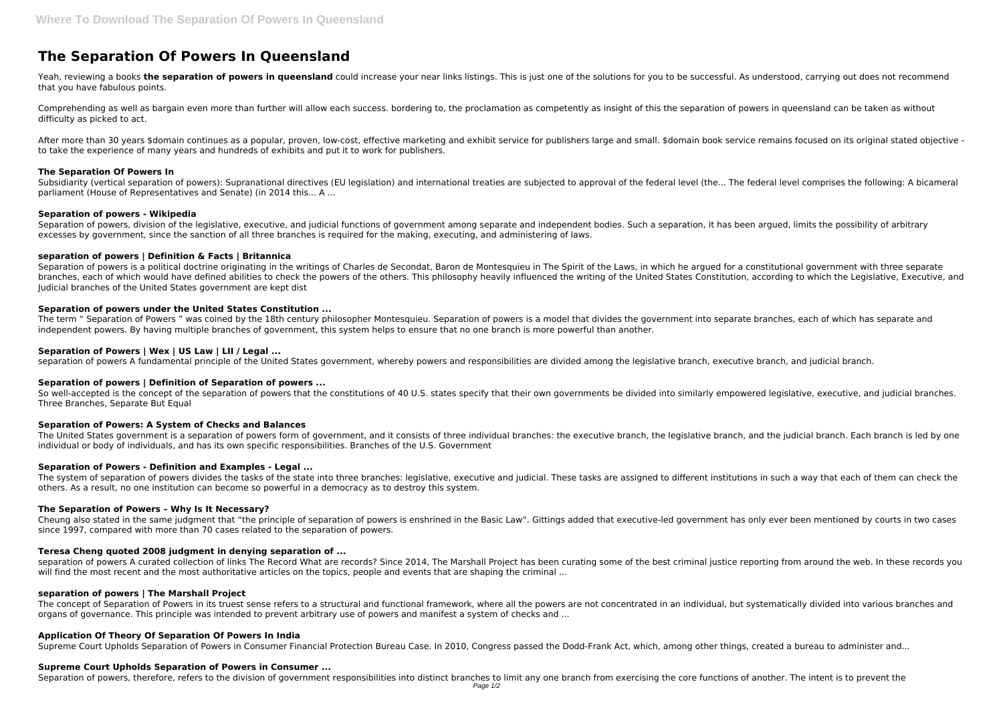# **The Separation Of Powers In Queensland**

Yeah, reviewing a books the separation of powers in queensland could increase your near links listings. This is just one of the solutions for you to be successful. As understood, carrying out does not recommend that you have fabulous points.

After more than 30 years \$domain continues as a popular, proven, low-cost, effective marketing and exhibit service for publishers large and small. \$domain book service remains focused on its original stated objective to take the experience of many years and hundreds of exhibits and put it to work for publishers.

Comprehending as well as bargain even more than further will allow each success. bordering to, the proclamation as competently as insight of this the separation of powers in queensland can be taken as without difficulty as picked to act.

Subsidiarity (vertical separation of powers): Supranational directives (EU legislation) and international treaties are subjected to approval of the federal level (the... The federal level comprises the following: A bicamer parliament (House of Representatives and Senate) (in 2014 this... A ...

Separation of powers, division of the legislative, executive, and judicial functions of government among separate and independent bodies. Such a separation, it has been argued, limits the possibility of arbitrary excesses by government, since the sanction of all three branches is required for the making, executing, and administering of laws.

## **The Separation Of Powers In**

Separation of powers is a political doctrine originating in the writings of Charles de Secondat, Baron de Montesquieu in The Spirit of the Laws, in which he argued for a constitutional government with three separate branches, each of which would have defined abilities to check the powers of the others. This philosophy heavily influenced the writing of the United States Constitution, according to which the Legislative, Executive, and Judicial branches of the United States government are kept dist

# **Separation of powers - Wikipedia**

The term " Separation of Powers " was coined by the 18th century philosopher Montesquieu. Separation of powers is a model that divides the government into separate branches, each of which has separate and independent powers. By having multiple branches of government, this system helps to ensure that no one branch is more powerful than another.

So well-accepted is the concept of the separation of powers that the constitutions of 40 U.S. states specify that their own governments be divided into similarly empowered legislative, executive, and judicial branches. Three Branches, Separate But Equal

# **separation of powers | Definition & Facts | Britannica**

The United States government is a separation of powers form of government, and it consists of three individual branches: the executive branch, the legislative branch, and the judicial branch. Each branch is led by one individual or body of individuals, and has its own specific responsibilities. Branches of the U.S. Government

# **Separation of powers under the United States Constitution ...**

The concept of Separation of Powers in its truest sense refers to a structural and functional framework, where all the powers are not concentrated in an individual, but systematically divided into various branches and organs of governance. This principle was intended to prevent arbitrary use of powers and manifest a system of checks and ...

# **Separation of Powers | Wex | US Law | LII / Legal ...**

separation of powers A fundamental principle of the United States government, whereby powers and responsibilities are divided among the legislative branch, executive branch, and judicial branch.

# **Separation of powers | Definition of Separation of powers ...**

## **Separation of Powers: A System of Checks and Balances**

## **Separation of Powers - Definition and Examples - Legal ...**

The system of separation of powers divides the tasks of the state into three branches: legislative, executive and judicial. These tasks are assigned to different institutions in such a way that each of them can check the others. As a result, no one institution can become so powerful in a democracy as to destroy this system.

## **The Separation of Powers – Why Is It Necessary?**

Cheung also stated in the same judgment that "the principle of separation of powers is enshrined in the Basic Law". Gittings added that executive-led government has only ever been mentioned by courts in two cases since 1997, compared with more than 70 cases related to the separation of powers.

# **Teresa Cheng quoted 2008 judgment in denying separation of ...**

separation of powers A curated collection of links The Record What are records? Since 2014, The Marshall Project has been curating some of the best criminal justice reporting from around the web. In these records you will find the most recent and the most authoritative articles on the topics, people and events that are shaping the criminal ...

## **separation of powers | The Marshall Project**

## **Application Of Theory Of Separation Of Powers In India**

Supreme Court Upholds Separation of Powers in Consumer Financial Protection Bureau Case. In 2010, Congress passed the Dodd-Frank Act, which, among other things, created a bureau to administer and...

## **Supreme Court Upholds Separation of Powers in Consumer ...**

Separation of powers, therefore, refers to the division of government responsibilities into distinct branches to limit any one branch from exercising the core functions of another. The intent is to prevent the